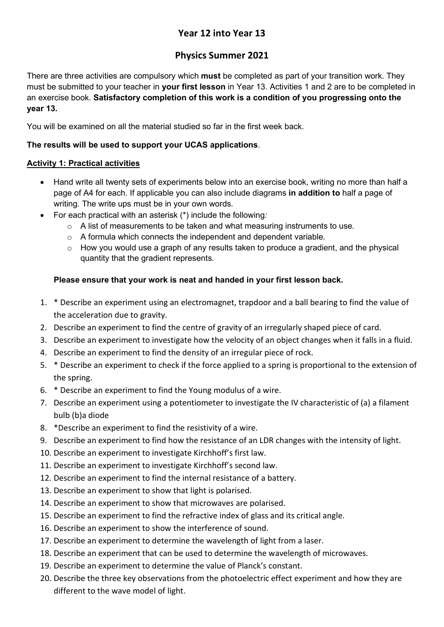# Year 12 into Year 13

# Physics Summer 2021

There are three activities are compulsory which must be completed as part of your transition work. They must be submitted to your teacher in **your first lesson** in Year 13. Activities 1 and 2 are to be completed in an exercise book. Satisfactory completion of this work is a condition of you progressing onto the year 13.

You will be examined on all the material studied so far in the first week back.

## The results will be used to support your UCAS applications.

#### Activity 1: Practical activities

- Hand write all twenty sets of experiments below into an exercise book, writing no more than half a page of A4 for each. If applicable you can also include diagrams in addition to half a page of writing. The write ups must be in your own words.
- For each practical with an asterisk (\*) include the following:
	- o A list of measurements to be taken and what measuring instruments to use.
	- o A formula which connects the independent and dependent variable.
	- $\circ$  How you would use a graph of any results taken to produce a gradient, and the physical quantity that the gradient represents.

### Please ensure that your work is neat and handed in your first lesson back.

- 1. \* Describe an experiment using an electromagnet, trapdoor and a ball bearing to find the value of the acceleration due to gravity.
- 2. Describe an experiment to find the centre of gravity of an irregularly shaped piece of card.
- 3. Describe an experiment to investigate how the velocity of an object changes when it falls in a fluid.
- 4. Describe an experiment to find the density of an irregular piece of rock.
- 5. \* Describe an experiment to check if the force applied to a spring is proportional to the extension of the spring.
- 6. \* Describe an experiment to find the Young modulus of a wire.
- 7. Describe an experiment using a potentiometer to investigate the IV characteristic of (a) a filament bulb (b)a diode
- 8. \*Describe an experiment to find the resistivity of a wire.
- 9. Describe an experiment to find how the resistance of an LDR changes with the intensity of light.
- 10. Describe an experiment to investigate Kirchhoff's first law.
- 11. Describe an experiment to investigate Kirchhoff's second law.
- 12. Describe an experiment to find the internal resistance of a battery.
- 13. Describe an experiment to show that light is polarised.
- 14. Describe an experiment to show that microwaves are polarised.
- 15. Describe an experiment to find the refractive index of glass and its critical angle.
- 16. Describe an experiment to show the interference of sound.
- 17. Describe an experiment to determine the wavelength of light from a laser.
- 18. Describe an experiment that can be used to determine the wavelength of microwaves.
- 19. Describe an experiment to determine the value of Planck's constant.
- 20. Describe the three key observations from the photoelectric effect experiment and how they are different to the wave model of light.